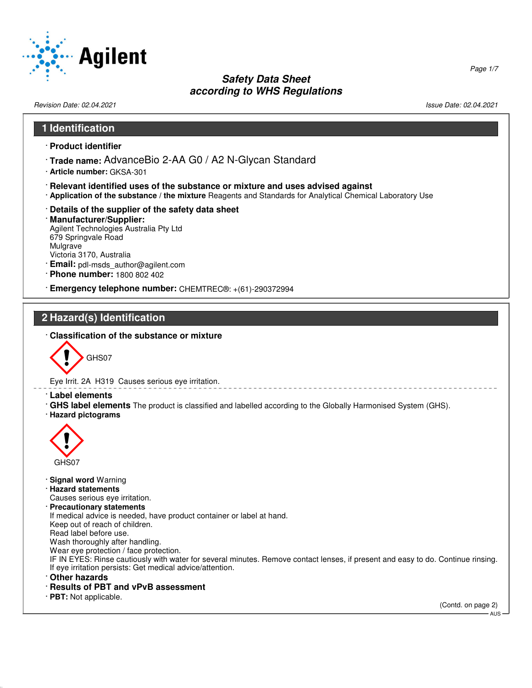

Revision Date: 02.04.2021 2012 12:03 12:04 12:05 12:04 12:05 12:04 12:05 13:06 13:09 13:09 13:00 Date: 02.04.2021

52.0.1.1

# **1 Identification** · **Product identifier** · **Trade name:** AdvanceBio 2-AA G0 / A2 N-Glycan Standard · **Article number:** GKSA-301 · **Relevant identified uses of the substance or mixture and uses advised against** · **Application of the substance / the mixture** Reagents and Standards for Analytical Chemical Laboratory Use · **Details of the supplier of the safety data sheet** · **Manufacturer/Supplier:** Agilent Technologies Australia Pty Ltd 679 Springvale Road Mulgrave Victoria 3170, Australia · **Email:** pdl-msds\_author@agilent.com · **Phone number:** 1800 802 402 · **Emergency telephone number:** CHEMTREC®: +(61)-290372994 **2 Hazard(s) Identification** · **Classification of the substance or mixture** GHS07 Eye Irrit. 2A H319 Causes serious eye irritation. · **Label elements** · **GHS label elements** The product is classified and labelled according to the Globally Harmonised System (GHS). · **Hazard pictograms**  $\langle \cdot \rangle$ GHS07 · **Signal word** Warning · **Hazard statements** Causes serious eye irritation. · **Precautionary statements** If medical advice is needed, have product container or label at hand. Keep out of reach of children. Read label before use. Wash thoroughly after handling. Wear eye protection / face protection. IF IN EYES: Rinse cautiously with water for several minutes. Remove contact lenses, if present and easy to do. Continue rinsing. If eye irritation persists: Get medical advice/attention. · **Other hazards** · **Results of PBT and vPvB assessment** · **PBT:** Not applicable. (Contd. on page 2) - AUS

Page 1/7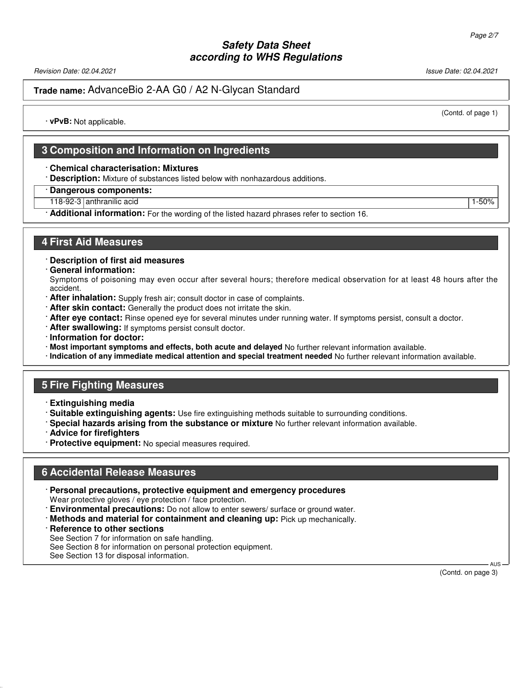Revision Date: 02.04.2021 Issue Date: 02.04.2021

#### **Trade name:** AdvanceBio 2-AA G0 / A2 N-Glycan Standard

(Contd. of page 1)

· **vPvB:** Not applicable.

## **3 Composition and Information on Ingredients**

#### · **Chemical characterisation: Mixtures**

- · **Description:** Mixture of substances listed below with nonhazardous additions.
- · **Dangerous components:**
- 118-92-3 anthranilic acid 1-50%
- · **Additional information:** For the wording of the listed hazard phrases refer to section 16.

#### **4 First Aid Measures**

- · **Description of first aid measures**
- · **General information:**

Symptoms of poisoning may even occur after several hours; therefore medical observation for at least 48 hours after the accident.

- · **After inhalation:** Supply fresh air; consult doctor in case of complaints.
- · **After skin contact:** Generally the product does not irritate the skin.
- · **After eye contact:** Rinse opened eye for several minutes under running water. If symptoms persist, consult a doctor.
- · **After swallowing:** If symptoms persist consult doctor.
- · **Information for doctor:**
- · **Most important symptoms and effects, both acute and delayed** No further relevant information available.
- · **Indication of any immediate medical attention and special treatment needed** No further relevant information available.

## **5 Fire Fighting Measures**

- · **Extinguishing media**
- · **Suitable extinguishing agents:** Use fire extinguishing methods suitable to surrounding conditions.
- · **Special hazards arising from the substance or mixture** No further relevant information available.
- · **Advice for firefighters**
- · **Protective equipment:** No special measures required.

#### **6 Accidental Release Measures**

- · **Personal precautions, protective equipment and emergency procedures** Wear protective gloves / eye protection / face protection.
- · **Environmental precautions:** Do not allow to enter sewers/ surface or ground water.
- · **Methods and material for containment and cleaning up:** Pick up mechanically.
- · **Reference to other sections**

52.0.1.1

- See Section 7 for information on safe handling.
- See Section 8 for information on personal protection equipment.
- See Section 13 for disposal information.

 AUS (Contd. on page 3)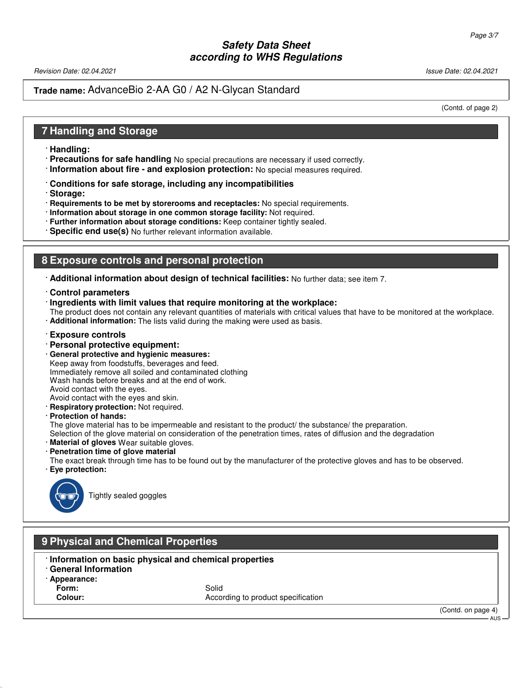Revision Date: 02.04.2021 2012 12:04:2021 20:04.2021 20:04:20:04 20:04:20:04 20:04:20:04 20:04:20:04 20:04:20:0

## **Trade name:** AdvanceBio 2-AA G0 / A2 N-Glycan Standard

(Contd. of page 2)

## **7 Handling and Storage**

- · **Handling:**
- · **Precautions for safe handling** No special precautions are necessary if used correctly.
- · **Information about fire and explosion protection:** No special measures required.
- · **Conditions for safe storage, including any incompatibilities**
- · **Storage:**
- · **Requirements to be met by storerooms and receptacles:** No special requirements.
- · **Information about storage in one common storage facility:** Not required.
- · **Further information about storage conditions:** Keep container tightly sealed.
- · **Specific end use(s)** No further relevant information available.

# **8 Exposure controls and personal protection**

- · **Additional information about design of technical facilities:** No further data; see item 7.
- · **Control parameters**
- · **Ingredients with limit values that require monitoring at the workplace:**
- The product does not contain any relevant quantities of materials with critical values that have to be monitored at the workplace.
- · **Additional information:** The lists valid during the making were used as basis.
- · **Exposure controls**
- · **Personal protective equipment:**
- · **General protective and hygienic measures:** Keep away from foodstuffs, beverages and feed. Immediately remove all soiled and contaminated clothing Wash hands before breaks and at the end of work. Avoid contact with the eyes. Avoid contact with the eyes and skin.
- · **Respiratory protection:** Not required.
- · **Protection of hands:**

The glove material has to be impermeable and resistant to the product/ the substance/ the preparation.

Selection of the glove material on consideration of the penetration times, rates of diffusion and the degradation

- **Material of gloves** Wear suitable gloves.
- · **Penetration time of glove material**
- The exact break through time has to be found out by the manufacturer of the protective gloves and has to be observed.
- · **Eye protection:**



Tightly sealed goggles

## **9 Physical and Chemical Properties**

- · **Information on basic physical and chemical properties**
- · **General Information**
- · **Appearance:**
- **Form:** Solid

52.0.1.1

**Colour:** According to product specification

(Contd. on page 4)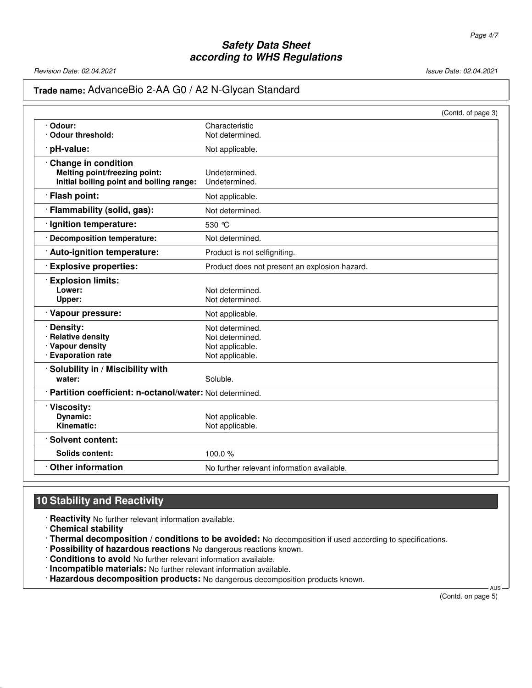Revision Date: 02.04.2021 2021 2021 20:04.2021 20:04.2021 20:04.2021 20:04.2021 20:04.2021

## **Trade name:** AdvanceBio 2-AA G0 / A2 N-Glycan Standard

|                                                           | (Contd. of page 3)                            |  |
|-----------------------------------------------------------|-----------------------------------------------|--|
| Odour:                                                    | Characteristic                                |  |
| · Odour threshold:                                        | Not determined.                               |  |
| · pH-value:                                               | Not applicable.                               |  |
| <b>Change in condition</b>                                |                                               |  |
| Melting point/freezing point:                             | Undetermined.                                 |  |
| Initial boiling point and boiling range:                  | Undetermined.                                 |  |
| · Flash point:                                            | Not applicable.                               |  |
| · Flammability (solid, gas):                              | Not determined.                               |  |
| · Ignition temperature:                                   | 530 °C                                        |  |
| · Decomposition temperature:                              | Not determined.                               |  |
| · Auto-ignition temperature:                              | Product is not selfigniting.                  |  |
| <b>Explosive properties:</b>                              | Product does not present an explosion hazard. |  |
| <b>Explosion limits:</b>                                  |                                               |  |
| Lower:                                                    | Not determined.                               |  |
| Upper:                                                    | Not determined.                               |  |
| · Vapour pressure:                                        | Not applicable.                               |  |
| Density:                                                  | Not determined.                               |  |
| <b>Relative density</b>                                   | Not determined.                               |  |
| · Vapour density                                          | Not applicable.                               |  |
| · Evaporation rate                                        | Not applicable.                               |  |
| Solubility in / Miscibility with                          |                                               |  |
| water:                                                    | Soluble.                                      |  |
| · Partition coefficient: n-octanol/water: Not determined. |                                               |  |
| · Viscosity:                                              |                                               |  |
| Dynamic:                                                  | Not applicable.                               |  |
| Kinematic:                                                | Not applicable.                               |  |
| · Solvent content:                                        |                                               |  |
| <b>Solids content:</b>                                    | 100.0%                                        |  |
| $\cdot$ Other information                                 | No further relevant information available.    |  |

# **10 Stability and Reactivity**

· **Reactivity** No further relevant information available.

· **Chemical stability**

52.0.1.1

- · **Thermal decomposition / conditions to be avoided:** No decomposition if used according to specifications.
- · **Possibility of hazardous reactions** No dangerous reactions known.
- · **Conditions to avoid** No further relevant information available.

· **Incompatible materials:** No further relevant information available.

· **Hazardous decomposition products:** No dangerous decomposition products known.

(Contd. on page 5)

**AUS**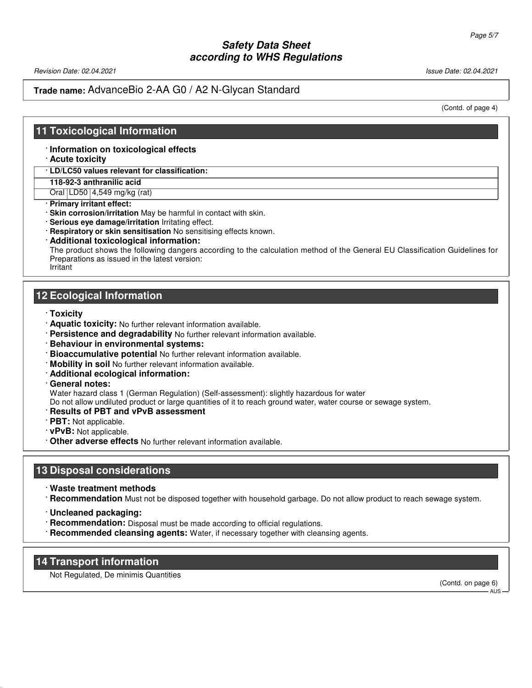Revision Date: 02.04.2021 Issue Date: 02.04.2021

## **Trade name:** AdvanceBio 2-AA G0 / A2 N-Glycan Standard

(Contd. of page 4)

### **11 Toxicological Information**

#### · **Information on toxicological effects**

· **Acute toxicity**

· **LD/LC50 values relevant for classification:**

**118-92-3 anthranilic acid**

Oral LD50 4,549 mg/kg (rat)

· **Primary irritant effect:**

· **Skin corrosion/irritation** May be harmful in contact with skin.

· **Serious eye damage/irritation** Irritating effect.

· **Respiratory or skin sensitisation** No sensitising effects known.

· **Additional toxicological information:**

The product shows the following dangers according to the calculation method of the General EU Classification Guidelines for Preparations as issued in the latest version:

Irritant

## **12 Ecological Information**

- · **Toxicity**
- · **Aquatic toxicity:** No further relevant information available.
- · **Persistence and degradability** No further relevant information available.
- · **Behaviour in environmental systems:**
- · **Bioaccumulative potential** No further relevant information available.
- · **Mobility in soil** No further relevant information available.
- · **Additional ecological information:**
- · **General notes:**

Water hazard class 1 (German Regulation) (Self-assessment): slightly hazardous for water

Do not allow undiluted product or large quantities of it to reach ground water, water course or sewage system.

- · **Results of PBT and vPvB assessment**
- · **PBT:** Not applicable.
- · **vPvB:** Not applicable.
- · **Other adverse effects** No further relevant information available.

#### **13 Disposal considerations**

· **Waste treatment methods**

· **Recommendation** Must not be disposed together with household garbage. Do not allow product to reach sewage system.

- · **Uncleaned packaging:**
- · **Recommendation:** Disposal must be made according to official regulations.
- · **Recommended cleansing agents:** Water, if necessary together with cleansing agents.

#### **14 Transport information**

52.0.1.1

Not Regulated, De minimis Quantities

(Contd. on page 6) AUS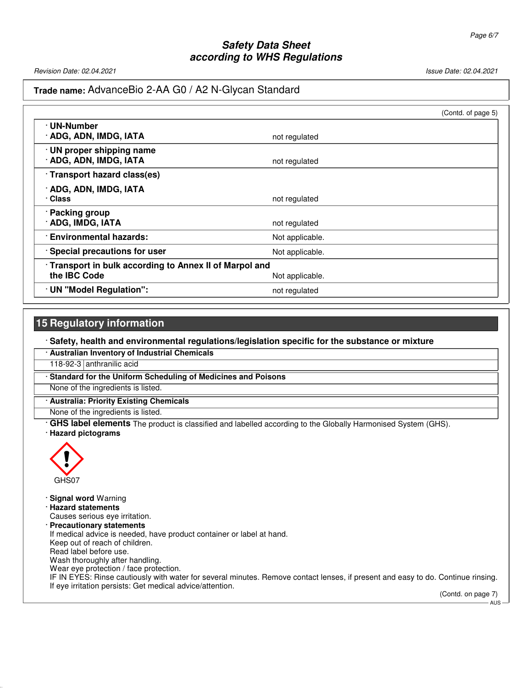Revision Date: 02.04.2021 2021 2021 2022 20:04.2021 20:04.2021 20:04.2021 20:04.2021 20:04.2021 20:04.2021 20:04

## **Trade name:** AdvanceBio 2-AA G0 / A2 N-Glycan Standard

|                                                                                          |                 | (Contd. of page 5) |
|------------------------------------------------------------------------------------------|-----------------|--------------------|
| · UN-Number<br>· ADG, ADN, IMDG, IATA                                                    | not regulated   |                    |
| · UN proper shipping name<br>· ADG, ADN, IMDG, IATA                                      | not regulated   |                    |
| · Transport hazard class(es)                                                             |                 |                    |
| · ADG, ADN, IMDG, IATA<br>· Class                                                        | not regulated   |                    |
| · Packing group<br>· ADG, IMDG, IATA                                                     | not regulated   |                    |
| <b>Environmental hazards:</b>                                                            | Not applicable. |                    |
| · Special precautions for user                                                           | Not applicable. |                    |
| Transport in bulk according to Annex II of Marpol and<br>the IBC Code<br>Not applicable. |                 |                    |
| · UN "Model Regulation":                                                                 | not regulated   |                    |

### **15 Regulatory information**

· **Safety, health and environmental regulations/legislation specific for the substance or mixture**

· **Australian Inventory of Industrial Chemicals**

118-92-3 anthranilic acid

· **Standard for the Uniform Scheduling of Medicines and Poisons**

None of the ingredients is listed.

· **Australia: Priority Existing Chemicals**

None of the ingredients is listed.

· **GHS label elements** The product is classified and labelled according to the Globally Harmonised System (GHS).

#### · **Hazard pictograms**



52.0.1.1

· **Signal word** Warning

· **Hazard statements**

Causes serious eye irritation.

· **Precautionary statements**

If medical advice is needed, have product container or label at hand. Keep out of reach of children.

Read label before use.

Wash thoroughly after handling.

Wear eye protection / face protection.

IF IN EYES: Rinse cautiously with water for several minutes. Remove contact lenses, if present and easy to do. Continue rinsing. If eye irritation persists: Get medical advice/attention.

(Contd. on page 7) AUS